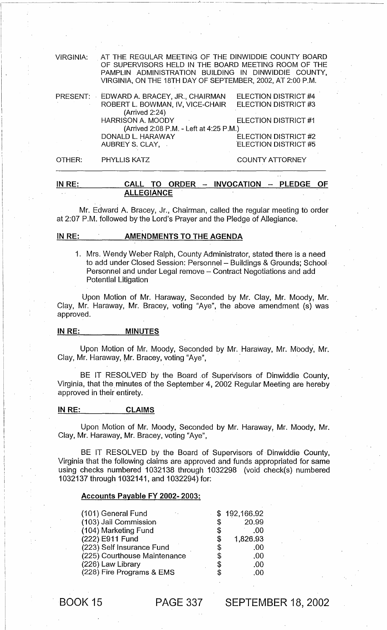| <b>VIRGINIA:</b> | AT THE REGULAR MEETING OF THE DINWIDDIE COUNTY BOARD       |                             |  |
|------------------|------------------------------------------------------------|-----------------------------|--|
|                  | OF SUPERVISORS HELD IN THE BOARD MEETING ROOM OF THE       |                             |  |
|                  | PAMPLIN ADMINISTRATION BUILDING IN DINWIDDIE COUNTY,       |                             |  |
|                  | VIRGINIA, ON THE 18TH DAY OF SEPTEMBER, 2002, AT 2:00 P.M. |                             |  |
| PRESENT:         | EDWARD A. BRACEY, JR., CHAIRMAN                            | ELECTION DISTRICT #4        |  |
|                  | ROBERT L. BOWMAN, IV, VICE-CHAIR<br>(Arrived 2:24)         | ELECTION DISTRICT #3        |  |
|                  | <b>HARRISON A. MOODY</b>                                   | ELECTION DISTRICT #1        |  |
|                  | (Arrived 2:08 P.M. - Left at 4:25 P.M.)                    |                             |  |
|                  | DONALD L. HARAWAY                                          | ELECTION DISTRICT #2        |  |
|                  | AUBREY S. CLAY,                                            | <b>ELECTION DISTRICT #5</b> |  |
| OTHER:           | PHYLLIS KATZ                                               | COUNTY ATTORNEY             |  |
|                  |                                                            |                             |  |

# IN RE: CALL TO ORDER - INVOCATION - PLEDGE OF ALLEGIANCE

Mr. Edward A. Bracey, Jr., Chairman, called the regular meeting to order at 2:07 P.M. followed by the Lord's Prayer and the Pledge of Allegiance.

# IN RE: **AMENDMENTS TO THE AGENDA**

1. Mrs. Wendy Weber Ralph, County Administrator, stated there is a need to add under Closed Session: Personnel - Buildings & Grounds; School Personnel and under Legal remove - Contract Negotiations and add Potential Litigation

Upon Motion of Mr. Haraway, Seconded by Mr. Clay, Mr. Moody, Mr. Clay, Mr. Haraway, Mr. Bracey, voting "Aye", the above amendment (s) was approved.

#### IN RE: MINUTES

------------------------------- ---\_\_\_\_\_\_ 1\.. \_\_ - \_\_\_\_ \_

Upon Motion of Mr. Moody, Seconded by Mr. Haraway, Mr. Moody, Mr. Clay, Mr. Haraway, Mr. Bracey, voting "Aye",

BE IT RESOLVED by the Board of Supervisors of Dinwiddie County, Virginia, that the minutes of the September 4, 2002 Regular Meeting are hereby approved in their entirety. .

#### IN RE: CLAIMS

Upon Motion of Mr. Moody, Seconded by Mr. Haraway, Mr. Moody, Mr. Clay, Mr. Haraway, Mr. Bracey, voting "Aye", .

BE IT RESOLVED by the Board of Supervisors of Dinwiddie County, Virginia that the following claims are approved and funds appropriated for same using checks numbered 1032138 through 1032298 (void check(s) numbered 1032137 through 1032141, and 1032294) for:

### Accounts Payable FY 2002- 2003:

| (101) General Fund<br>٠.     |     | \$192,166.92 |
|------------------------------|-----|--------------|
| (103) Jail Commission        | \$. | 20.99        |
| (104) Marketing Fund         | \$  | .00          |
| (222) E911 Fund              | \$  | 1,826.93     |
| (223) Self Insurance Fund    | \$  | .00          |
| (225) Courthouse Maintenance | \$  | .00          |
| (226) Law Library            | \$  | .00          |
| (228) Fire Programs & EMS    | S   | .00          |

BOOK 15 PAGE 337

SEPTEMBER 18, 2002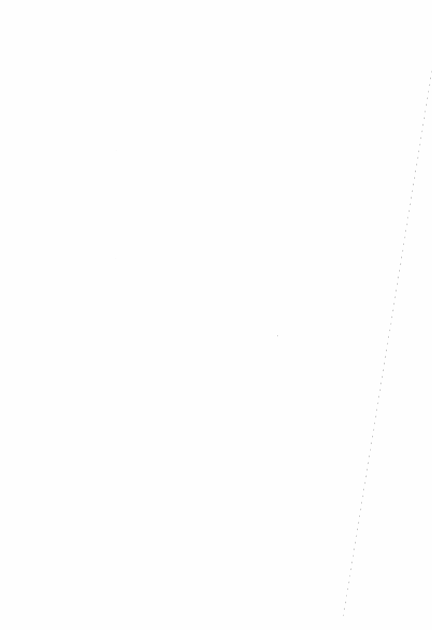$\label{eq:2} \frac{1}{\sqrt{2}}\left(\frac{1}{\sqrt{2}}\right)^{2} \left(\frac{1}{\sqrt{2}}\right)^{2} \left(\frac{1}{\sqrt{2}}\right)^{2} \left(\frac{1}{\sqrt{2}}\right)^{2} \left(\frac{1}{\sqrt{2}}\right)^{2} \left(\frac{1}{\sqrt{2}}\right)^{2} \left(\frac{1}{\sqrt{2}}\right)^{2} \left(\frac{1}{\sqrt{2}}\right)^{2} \left(\frac{1}{\sqrt{2}}\right)^{2} \left(\frac{1}{\sqrt{2}}\right)^{2} \left(\frac{1}{\sqrt{2}}\right)^{2} \left(\frac{$  $\overline{I}$  $\bar{t}$  $\bar{1}$  $\bar{1}$  $\bar{1}$  $\frac{1}{4}$  $\bar{\ell}$  $\frac{1}{\sqrt{2}}$  $\bar{1}$  $\bar{1}$  $\bar{1}$  $\bar{1}$  $\frac{1}{4}$  $\bar{t}$  $\bar{t}$  $\bar{t}$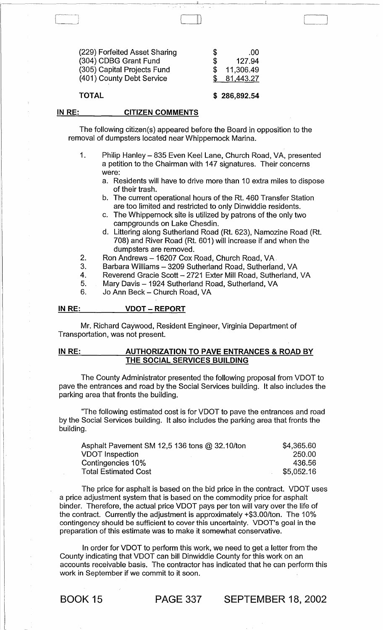| (229) Forfeited Asset Sharing | \$ | .00         |
|-------------------------------|----|-------------|
| (304) CDBG Grant Fund         | S. | 127.94      |
| (305) Capital Projects Fund   |    | 11,306.49   |
| (401) County Debt Service     |    | \$81,443.27 |
|                               |    |             |

## TOTAL

### \$ 286,892.54

#### IN RE: CITIZEN COMMENTS

The following citizen(s) appeared before the Board in opposition to the removal of dumpsters located near Whippernock Marina.

1. Philip Hanley - 835 Even Keel Lane, Church Road, VA, presented a petition to the Chairman with 147 signatures. Their concerns were:

 $\mathbb{L}$ 

- a. Residents will have to drive more than 10 extra miles to dispose of their trash.
- b. The current operational hours of the Rt. 460 Transfer Station are too limited and restricted to only Dinwiddie residents.
- c. The Whippernock site is utilized by patrons of the only two campgrounds on Lake Chesdin.
- d. Littering along Sutherland Road (Rt. 623), Namozine Road (Rt. 708) and River Road (Rt. 601) will increase if and when the dumpsters are removed.
- 2. Ron Andrews - 16207 Cox Road, Church Road, VA
- 3. Barbara Williams - 3209 Sutherland Road, Sutherland, VA
- 4. Reverend Gracie Scott - 2721 Exter Mill Road, Sutherland, VA
- 5. Mary Davis - 1924 Sutherland Road, Sutherland, VA
- 6. Jo Ann Beck - Church Road, VA

#### IN RE: VDOT - REPORT

Mr. Richard Caywood, Resident Engineer, Virginia Department of Transportation, was not present.

## IN RE: AUTHORIZATION TO PAVE ENTRANCES & ROAD BY THE SOCIAL SERVICES BUILDING

The County Administrator presented the following proposal from VDOT to pave the entrances and road by the Social Services building. It also includes the parking area that fronts the building.

"The following estimated cost is for VDOT to pave the entrances and road by the Social Services building. It also includes the parking area that fronts the building.

| Asphalt Pavement SM 12,5 136 tons @ 32.10/ton | \$4,365.60 |
|-----------------------------------------------|------------|
| VDOT Inspection                               | 250.00     |
| Contingencies 10%                             | 436.56     |
| <b>Total Estimated Cost</b>                   | \$5,052.16 |

The price for asphalt is based on the bid price in the contract. VDOT uses a price adjustment system that is based on the commodity price for asphalt binder. Therefore, the actual price VDOT pays per ton will vary over the life of the contract. Currently the adjustment is approximately +\$3.00/ton. The 10% contingency should be sufficient to cover this uncertainty. VDOT's goal in the preparation of this estimate was to make it somewhat conservative.

In order for VDOT to perform this work, we need to get a letter from the County indicating that VDOT can bill Dinwiddie County for this work on an accounts receivable basis. The contractor has indicated that he can perform this work in September if we commit to it soon.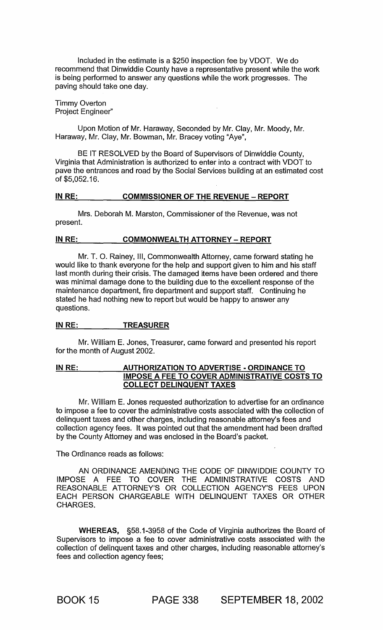Included in the estimate is a \$250 inspection fee by VDOT. We do recommend that Dinwiddie County have a representative present while the work is being performed to answer any questions while the work progresses. The paving should take one day.

Timmy Overton Project Engineer"

Upon Motion of Mr. Haraway, Seconded by Mr. Clay, Mr. Moody, Mr. Haraway, Mr. Clay, Mr. Bowman, Mr. Bracey voting "Aye",

BE IT RESOLVED by the Board of Supervisors of Dinwiddie County, Virginia that Administration is authorized to enter into a contract with VDOT to pave the entrances and road by the Social Services building at an estimated cost of \$5,052.16.

# IN RE: COMMISSIONER OF THE REVENUE - REPORT

Mrs. Deborah M. Marston, Commissioner of the Revenue, was not present.

# IN RE: COMMONWEALTH ATTORNEY - REPORT

Mr. T. O. Rainey, III, Commonwealth Attorney, came forward stating he would like to thank everyone for the help and support given to him and his staff last month during their crisis. The damaged items have been ordered and there was minimal damage done to the building due to the excellent response of the maintenance department, fire department and support staff. Continuing he stated he had nothing new to report but would be happy to answer any questions.

# IN RE: TREASURER

Mr. William E. Jones, Treasurer, came forward and presented his report for the month of August 2002.

## IN RE: AUTHORIZATION TO ADVERTISE - ORDINANCE TO IMPOSE A FEE TO COVER ADMINISTRATIVE COSTS TO COLLECT DELINQUENT TAXES

Mr. William E. Jones requested authorization to advertise for an ordinance to impose a fee to cover the administrative costs associated with the collection of delinquent taxes and other charges, including reasonable attorney's fees and collection agency fees. It was pointed out that the amendment had been drafted by the County Attorney and was enclosed in the Board's packet.

The Ordinance reads as follows:

AN ORDINANCE AMENDING THE CODE OF DINWIDDIE COUNTY TO IMPOSE A FEE TO COVER THE ADMINISTRATIVE COSTS AND REASONABLE ATTORNEY'S OR COLLECTION AGENCY'S FEES UPON EACH PERSON CHARGEABLE WITH DELINQUENT TAXES OR OTHER CHARGES.

WHEREAS, §58.1-3958 of the Code of Virginia authorizes the Board of Supervisors to impose a fee to cover administrative costs associated with the collection of delinquent taxes and other charges, including reasonable attorney's fees and collection agency fees;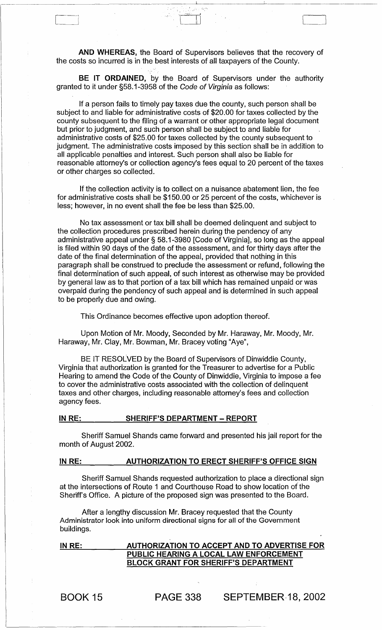AND WHEREAS, the Board of Supervisors believes that the recovery of the costs so incurred is in the best interests of all taxpayers of the County.

C-] II i

 $\mathcal{E}_{\mu\nu}$ 

BE IT ORDAINED, by the Board of Supervisors under the authority granted to it under §58.1-3958 of the Code of Virginia as follows:

If a person fails to timely pay taxes due the county, such person shall be subject to and liable for administrative costs of \$20.00 for taxes collected by the county subsequent to the filing of a warrant or other appropriate legal document but prior to judgment, and such person shall be subject to and liable for administrative costs of \$25.00 for taxes collected by the county subsequent to judgment. The administrative costs imposed by this section shall be in addition to all applicable penalties and interest. Such person shall also be liable for reasonable attorney's or collection agency's fees equal to 20 percent of the taxes or other charges so collected.

If the collection activity is to collect on a nuisance abatement lien, the fee for administrative costs shall be \$150.00 or 25 percent of the costs, whichever is less; however, in no event shall the fee be less than \$25.00.

No tax assessment or tax bill shall be deemed delinquent and subject to the collection procedures prescribed herein during the pendency of any administrative appeal under § 58.1-3980 [Code of Virginia], so long as the appeal is filed within 90 days of the date of the assessment, and for thirty days after the date of the final determination of the appeal, provided that nothing in this paragraph shall be construed to preclude the assessment or refund, following the final determination of such appeal, of such interest as otherwise may be provided by general law as to that portion of a tax bill which has remained unpaid or was overpaid during the pendency of such appeal and is determined in such appeal to be properly due and owing.

This Ordinance becomes effective upon adoption thereof.

Upon Motion of Mr. Moody, Seconded by Mr. Haraway, Mr. Moody, Mr. Haraway, Mr. Clay, Mr. Bowman, Mr. Bracey voting "Aye",

BE IT RESOLVED by the Board of Supervisors of Dinwiddie County, Virginia that authorization is granted for the Treasurer to advertise for a Public Hearing to amend the Code of the County of Dinwiddie, Virginia to impose a fee to cover the administrative costs associated with the collection of delinquent taxes and other charges, including reasonable attorney's fees and collection agency fees.

## IN RE: SHERIFF'S DEPARTMENT - REPORT

Sheriff Samuel Shands came forward and presented his jail report for the month of August 2002.

#### IN RE: AUTHORIZATION TO ERECT SHERIFF'S OFFICE SIGN

Sheriff Samuel Shands requested authorization to place a directional sign at the intersections of Route 1 and Courthouse Road to show location of the Sheriffs Office. A picture of the proposed sign was presented to the Board.

After a lengthy discussion Mr. Bracey requested that the County Administrator look into uniform directional signs for all of the Government buildings.

IN RE: AUTHORIZATION TO ACCEPT AND TO ADVERTISE FOR PUBLIC HEARING A LOCAL LAW ENFORCEMENT BLOCK GRANT FOR SHERIFF'S DEPARTMENT

BOOK 15

------~~--~~--~

PAGE 338 SEPTEMBER·18, 2002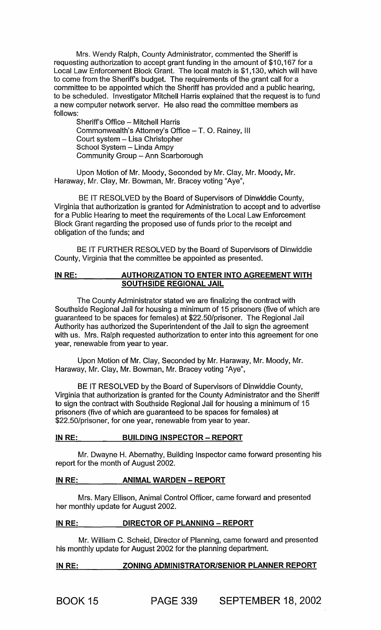Mrs. Wendy Ralph, County Administrator, commented the Sheriff is requesting authorization to accept grant funding in the amount of \$10,167 for a Local Law Enforcement Block Grant. The local match is \$1,130, which will have to come from the Sheriffs budget. The requirements of the grant call for a committee to be appointed which the Sheriff has provided and a public hearing, to be scheduled. Investigator Mitchell Harris explained that the request is to fund a new computer network server. He also read the committee members as follows:

Sheriff's Office - Mitchell Harris Commonwealth's Attorney's Office - T. O. Rainey, III Court system - Lisa Christopher School System - Linda Ampy Community Group - Ann Scarborough

Upon Motion of Mr. Moody, Seconded by Mr. Clay, Mr. Moody, Mr. Haraway, Mr. Clay, Mr. Bowman, Mr. Bracey voting "Aye",

BE IT RESOLVED by the Board of Supervisors of Dinwiddie County, Virginia that authorization is granted for Administration to accept and to advertise for a Public Hearing to meet the requirements of the Local Law Enforcement Block Grant regarding the proposed use of funds prior to the receipt and obligation of the funds; and

BE IT FURTHER RESOLVED by the Board of Supervisors of Dinwiddie County, Virginia that the committee be appointed as presented.

# IN RE: AUTHORIZATION TO ENTER INTO AGREEMENT WITH SOUTHSIDE REGIONAL JAIL

The County Administrator stated we are finalizing the contract with Southside Regional Jail for housing a minimum of 15 prisoners (five of which are guaranteed to be spaces for females) at \$22.50/prisoner. The Regional Jail Authority has authorized the Superintendent of the Jail to sign the agreement with us. Mrs. Ralph requested authorization to enter into this agreement for one year, renewable from year to year.

Upon Motion of Mr. Clay, Seconded by Mr. Haraway, Mr. Moody, Mr. Haraway, Mr. Clay, Mr. Bowman, Mr. Bracey voting "Aye",

BE IT RESOLVED by the Board of Supervisors of Dinwiddie County, Virginia that authorization is granted for the County Administrator and the Sheriff to sign the contract with Southside Regional Jail for housing a minimum of 15 prisoners (five of which are guaranteed to be spaces for females) at \$22.50/prisoner, for one year, renewable from year to year.

# IN RE: BUILDING INSPECTOR - REPORT

Mr. Dwayne H. Abernathy, Building Inspector came forward presenting his report for the month of August 2002.

# IN RE: ANIMAL WARDEN - REPORT

Mrs. Mary Ellison, Animal Control Officer, came forward and presented her monthly update for August 2002.

# IN RE: DIRECTOR OF PLANNING - REPORT

Mr. William C. Scheid, Director of Planning, came forward and presented his monthly update for August 2002 for the planning department.

# IN RE: ZONING ADMINISTRATOR/SENIOR PLANNER REPORT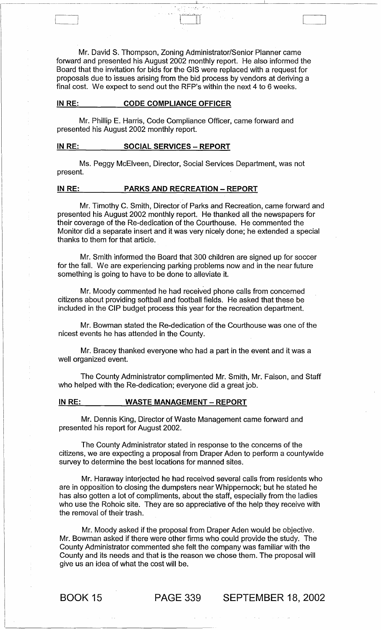Mr. David S. Thompson, Zoning Administrator/Senior Planner came forward and presented his August 2002 monthly report. He also informed the Board that the invitation for bids for the GIS were replaced with a request for proposals due to issues arising from the bid process by vendors at deriving a final cost. We expect to send out the RFP's within the next 4 to 6 weeks.

 $\begin{picture}(120,17) \put(15,17){\line(1,0){150}} \put(15,17){\line(1,0){150}} \put(15,17){\line(1,0){150}} \put(15,17){\line(1,0){150}} \put(15,17){\line(1,0){150}} \put(15,17){\line(1,0){150}} \put(15,17){\line(1,0){150}} \put(15,17){\line(1,0){150}} \put(15,17){\line(1,0){150}} \put(15,17){\line(1,0){150}} \put(15,17$ 

### **IN** RE: **CODE COMPLIANCE OFFICER**

Mr. Phillip E. Harris, Code Compliance Officer, came forward and presented his August 2002 monthly report.

## **INRE: SOCIAL SERVICES - REPORT**

Ms. Peggy McElveen, Director, Social Services Department, was not present.

### **IN** RE: **PARKS AND RECREATION - REPORT**

Mr. Timothy C. Smith, Director of Parks and Recreation, came forward and presented his August 2002 monthly report. He thanked all the newspapers for their coverage of the Re-dedication of the Courthouse. He commented the Monitor did a separate insert and it was very nicely done; he extended a special thanks to them for that article.

Mr. Smith informed the Board that 300 children are signed up for soccer for the fall. We are experiencing parking problems now and in the near future something is going to have to be done to alleviate it.

Mr. Moody commented he had received phone calls from concerned citizens about providing softball and football fields. He asked that these be included in the CIP budget process this year for the recreation department.

Mr. Bowman stated the Re-dedication of the Courthouse was one of the nicest events he has attended in the County.

Mr. Bracey thanked everyone who had a part in the event and it was a well organized event.

The County Administrator complimented Mr. Smith, Mr. Faison, and Staff who helped with the Re-dedication; everyone did a great job.

### **IN** RE: **WASTE MANAGEMENT - REPORT**

Mr. Dennis King, Director of Waste Management came forward and presented his report for August 2002.

The County Administrator stated in response to the concerns of the citizens, we are expecting a proposal from Draper Aden to perform a countywide survey to determine the best locations for manned sites.

Mr. Haraway interjected he had received several calls from residents who are in opposition to closing the dumpsters near Whippernock; but he stated he has also gotten a lot of compliments, about the staff, especially from the ladies who use the Rohoic site. They are so appreciative of the help they receive with the removal of their trash.

Mr. Moody asked if the proposal from Draper Aden would be objective. Mr. Bowman asked if there were other firms who could provide the study. The County Administrator commented she felt the company was familiar with the County and its needs and that is the reason we chose them. The proposal will give us an idea of what the cost will be.

BOOK 15 PAGE 339 SEPTEMBER 18, 2002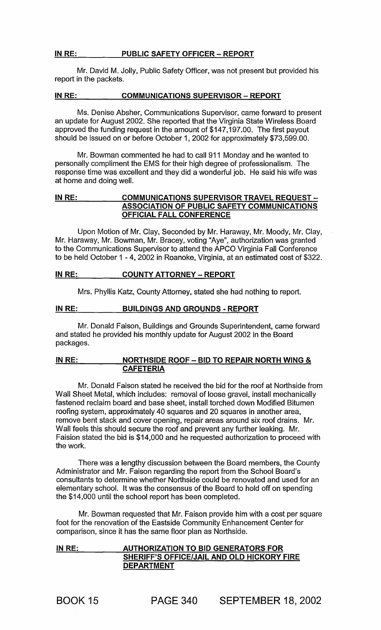# IN RE: PUBLIC SAFETY OFFICER - REPORT

Mr. David M. Jolly, Public Safety Officer, was not present but provided his report in the packets.

# IN RE: COMMUNICATIONS SUPERVISOR - REPORT

Ms. Denise Absher, Communications Supervisor, came forward to present an update for August 2002. She reported that the Virginia State Wireless Board approved the funding request in the amount of \$147,197.00. The first payout should be issued on or before October 1,2002 for approximately \$73,599.00.

Mr. Bowman commented he had to call 911 Monday and he wanted to personally compliment the EMS for their high degree of professionalism. The response time was excellent and they did a wonderful job. He said his wife was at home and doing well.

## IN RE: COMMUNICATIONS SUPERVISOR TRAVEL REQUEST -ASSOCIATION OF PUBLIC SAFETY COMMUNICATIONS OFFICIAL FALL CONFERENCE

Upon Motion of Mr. Clay, Seconded by Mr. Haraway, Mr. Moody, Mr. Clay, Mr. Haraway, Mr. Bowman, Mr. Bracey, voting "Aye", authorization was granted to the Communications Supervisor to attend the APCO Virginia Fall Conference to be held October 1 - 4, 2002 in Roanoke, Virginia, at an estimated cost of \$322.

# IN RE: COUNTY ATTORNEY - REPORT

Mrs. Phyllis Katz, County Attorney, stated she had nothing to report.

## INRE: BUILDINGS AND GROUNDS - REPORT

Mr. Donald Faison, Buildings and Grounds Superintendent, came forward and stated he provided his monthly update for August 2002 in the Board packages.

# IN RE: NORTHSIDE ROOF - BID TO REPAIR NORTH WING & CAFETERIA

Mr. Donald Faison stated he received the bid for the roof at Northside from Wall Sheet Metal, which includes: removal of loose gravel, install mechanically fastened reclaim board and base sheet, install torched down Modified Bitumen roofing system, approximately 40 squares and 20 squares in another area, remove bent stack and cover opening, repair areas around six roof drains. Mr. Wall feels this should secure the roof and prevent any further leaking. Mr. Faision stated the bid is \$14,000 and he requested authorization to proceed with the work.

There was a lengthy discussion between the Board members, the County Administrator and Mr. Faison regarding the report from the School Board's consultants to determine whether Northside could be renovated and used for an elementary school. It was the consensus of the Board to hold off on spending the \$14,000 until the school report has been completed.

Mr. Bowman requested that Mr. Faison provide him with a cost per square foot for the renovation of the Eastside Community Enhancement Center for comparison, since it has the same floor plan as Northside.

#### IN RE: AUTHORIZATION TO BID GENERATORS FOR SHERIFF'S OFFICE/JAIL AND OLD HICKORY FIRE DEPARTMENT

BOOK 15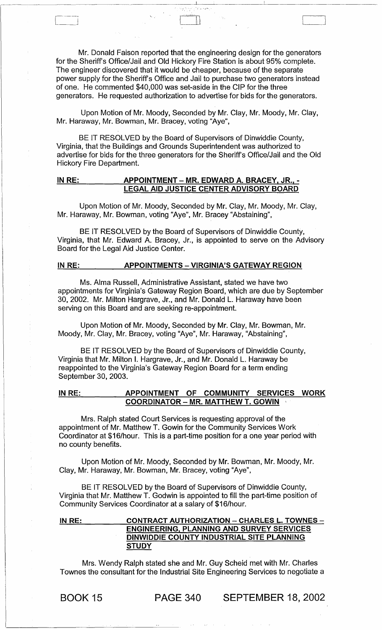Mr. Donald Faison reported that the engineering design for the generators for the Sheriff's Office/Jail and Old Hickory Fire Station is about 95% complete. The engineer discovered that it would be cheaper, because of the separate power supply for the Sheriff's Office and Jail to purchase two generators instead of one. He commented \$40,000 was set-aside in the CIP for the three generators. He requested authorization to advertise for bids for the generators.

~-~-.~~~~~~~~~~~-~~~~~~----"-~~-----~-------~--~-

 $\sqcup$ 

;, .

Upon Motion of Mr. Moody, Seconded by Mr. Clay, Mr. Moody, Mr. Clay, Mr. Haraway, Mr. Bowman, Mr. Bracey, voting "Aye",

BE IT RESOLVED by the Board of Supervisors of Dinwiddie County, Virginia, that the Buildings and Grounds Superintendent was authorized to advertise for bids for the three generators for the Sheriff's Office/Jail and the Old Hickory Fire Department.

# IN RE: APPOINTMENT - MR. EDWARD A. BRACEY, JR., -LEGAL AID JUSTICE CENTER ADVISORY BOARD

Upon Motion of Mr. Moody, Seconded by Mr. Clay, Mr. Moody, Mr. Clay, Mr. Haraway, Mr. Bowman, voting "Aye", Mr. Bracey "Abstaining",

BE IT RESOLVED by the Board of Supervisors of Dinwiddie County, Virginia, that Mr. Edward A. Bracey, Jr., is appointed to serve on the Advisory Board for the Legal Aid Justice Center.

### IN RE: APPOINTMENTS - VIRGINIA'S GATEWAY REGION

Ms. Alma Russell, Administrative Assistant, stated we have two appointments for Virginia's Gateway Region Board, which are due by September 30, 2002. Mr. Milton Hargrave, Jr., and Mr. Donald L. Haraway have been serving on this Board and are seeking re-appointment.

Upon Motion of Mr. Moody, Seconded by Mr. Clay, Mr. Bowman, Mr. Moody, Mr. Clay, Mr. Bracey, voting "Aye", Mr. Haraway, "Abstaining",

BE IT RESOLVED by the Board of Supervisors of Dinwiddie County, Virginia that Mr. Milton I. Hargrave, Jr., and Mr. Donald L. Haraway be reappointed to the Virginia's Gateway Region Board for a term ending September 30, 2003.

## IN RE: APPOINTMENT OF COMMUNITY SERVICES WORK COORDINATOR - MR. MATTHEW T. GOWIN·

Mrs. Ralph stated Court Services is requesting approval of the appointment of Mr. Matthew T. Gowin for the Community Services Work Coordinator at \$16/hour. This is a part-time position for a one year period with no county benefits.

Upon Motion of Mr. Moody, Seconded by Mr. Bowman, Mr. Moody, Mr. Clay, Mr. Haraway, Mr. Bowman, Mr. Bracey, voting "Aye",

BE IT RESOLVED by the Board of Supervisors of Dinwiddie County, Virginia that Mr. Matthew T. Godwin is appointed to fill the part-time position of Community Services Coordinator at a salary of \$16/hour.

| IN RE: | <b>CONTRACT AUTHORIZATION - CHARLES L. TOWNES -</b> |
|--------|-----------------------------------------------------|
|        | <b>ENGINEERING, PLANNING AND SURVEY SERVICES</b>    |
|        | DINWIDDIE COUNTY INDUSTRIAL SITE PLANNING           |
|        | <b>STUDY</b>                                        |

Mrs. Wendy Ralph stated she and Mr. Guy Scheid met with Mr. Charles Townes the consultant for the Industrial Site Engineering Services to negotiate a

BOOK 15 PAGE 340 SEPTEMBER 18, 2002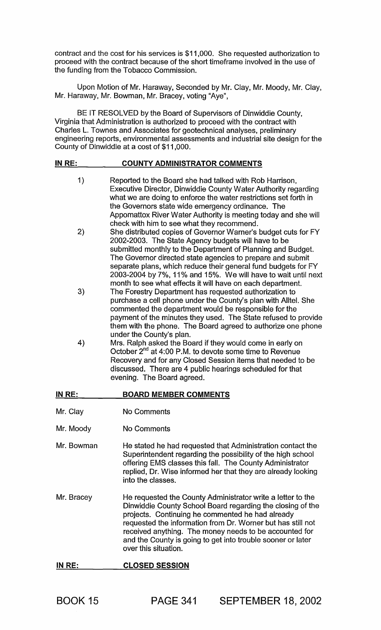contract and the cost for his services is \$11,000. She requested authorization to proceed with the contract because of the short timeframe involved in the use of the funding from the Tobacco Commission.

Upon Motion of Mr. Haraway, Seconded by Mr. Clay, Mr. Moody, Mr. Clay, Mr. Haraway, Mr. Bowman, Mr. Bracey, voting "Aye",

BE IT RESOLVED by the Board of Supervisors of Dinwiddie County, Virginia that Administration is authorized to proceed with the contract with Charles L. Townes and Associates for geotechnical analyses, preliminary engineering reports, environmental assessments and industrial site design for the County of Dinwiddie at a cost of \$11 ,000.

# <u>IN RE: COUNTY ADMINISTRATOR COMMENTS</u>

| 1)            | Reported to the Board she had talked with Rob Harrison,<br>Executive Director, Dinwiddie County Water Authority regarding<br>what we are doing to enforce the water restrictions set forth in<br>the Governors state wide emergency ordinance. The<br>Appomattox River Water Authority is meeting today and she will<br>check with him to see what they recommend.                            |
|---------------|-----------------------------------------------------------------------------------------------------------------------------------------------------------------------------------------------------------------------------------------------------------------------------------------------------------------------------------------------------------------------------------------------|
| 2)            | She distributed copies of Governor Warner's budget cuts for FY<br>2002-2003. The State Agency budgets will have to be<br>submitted monthly to the Department of Planning and Budget.<br>The Governor directed state agencies to prepare and submit<br>separate plans, which reduce their general fund budgets for FY<br>2003-2004 by 7%, 11% and 15%. We will have to wait until next         |
| 3)            | month to see what effects it will have on each department.<br>The Forestry Department has requested authorization to<br>purchase a cell phone under the County's plan with Alltel. She<br>commented the department would be responsible for the<br>payment of the minutes they used. The State refused to provide<br>them with the phone. The Board agreed to authorize one phone             |
| 4)            | under the County's plan.<br>Mrs. Ralph asked the Board if they would come in early on<br>October 2 <sup>nd</sup> at 4:00 P.M. to devote some time to Revenue<br>Recovery and for any Closed Session items that needed to be<br>discussed. There are 4 public hearings scheduled for that<br>evening. The Board agreed.                                                                        |
| IN RE:        | <b>BOARD MEMBER COMMENTS</b>                                                                                                                                                                                                                                                                                                                                                                  |
| Mr. Clay      | <b>No Comments</b>                                                                                                                                                                                                                                                                                                                                                                            |
| Mr. Moody     | <b>No Comments</b>                                                                                                                                                                                                                                                                                                                                                                            |
| Mr. Bowman    | He stated he had requested that Administration contact the<br>Superintendent regarding the possibility of the high school<br>offering EMS classes this fall. The County Administrator<br>replied, Dr. Wise informed her that they are already looking<br>into the classes.                                                                                                                    |
| Mr. Bracey    | He requested the County Administrator write a letter to the<br>Dinwiddie County School Board regarding the closing of the<br>projects. Continuing he commented he had already<br>requested the information from Dr. Worner but has still not<br>received anything. The money needs to be accounted for<br>and the County is going to get into trouble sooner or later<br>over this situation. |
| <u>IN RE:</u> | <b>CLOSED SESSION</b>                                                                                                                                                                                                                                                                                                                                                                         |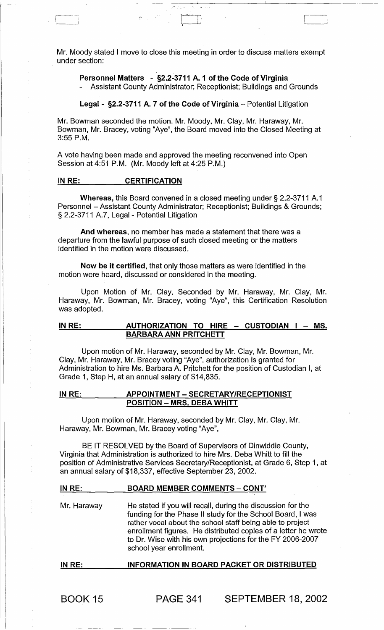Mr. Moody stated I move to close this meeting in order to discuss matters exempt under section:

Personnel Matters - §2.2-3711 A. 1 of the Code of Virginia - Assistant County Administrator; Receptionist; Buildings and Grounds

 $\tilde{H}$  . The  $\tilde{H}$ 

Legal - §2.2-3711 A. 7 of the Code of Virginia - Potential Litigation

Mr. Bowman seconded the motion. Mr. Moody, Mr. Clay, Mr. Haraway, Mr. Bowman, Mr. Bracey, voting "Aye", the Board moved into the Closed Meeting at 3:55 P.M.

A vote having been made and approved the meeting reconvened into Open Session at 4:51 P.M. (Mr. Moody left at 4:25 P.M.)

### IN RE: CERTIFICATION

Whereas, this Board convened in a closed meeting under § 2.2-3711 A.1 Personnel - Assistant County Administrator; Receptionist; Buildings & Grounds; § 2.2-3711 A.7, Legal - Potential Litigation

And whereas, no member has made a statement that there was a departure from the lawful purpose of such closed meeting or the matters identified in the motion were discussed.

Now be it certified, that only those matters as were identified in the motion were heard, discussed or considered in the meeting.

Upon Motion of Mr. Clay, Seconded by Mr. Haraway, Mr. Clay, Mr. Haraway, Mr. Bowman, Mr. Bracey, voting "Aye", this Certification Resolution was adopted.

## IN RE: AUTHORIZATION TO HIRE - CUSTODIAN I - MS. BARBARA ANN PRITCHETT

Upon motion of Mr. Haraway, seconded by Mr. Clay, Mr. Bowman, Mr. Clay, Mr. Haraway, Mr. Bracey voting "Aye", authorization is granted for Administration to hire Ms. Barbara A. Pritchett for the position of Custodian I, at Grade 1, Step H, at an annual salary of \$14,835.

## IN RE: APPOINTMENT - SECRETARY/RECEPTIONIST POSITION - MRS. DEBA WHITT

Upon motion of Mr. Haraway, seconded by Mr. Clay, Mr. Clay, Mr. Haraway, Mr. Bowman, Mr. Bracey voting "Aye",

BE IT RESOLVED by the Board of Supervisors of Dinwiddie County, Virginia that Administration is authorized to hire Mrs. Deba Whitt to fill the position of Administrative Services Secretary/Receptionist, at Grade 6, Step 1, at an annual salary of \$18,337, effective September 23,2002.

#### IN RE: BOARD MEMBER COMMENTS - CONT'

Mr. Haraway He stated if you will recall, during the discussion for the funding for the Phase II study for the School Board, I was rather vocal about the school staff being able to project enrollment figures. He distributed copies of a letter he wrote to Dr. Wise with his own projections for the FY 2006-2007 school year enrollment.

#### IN RE: INFORMATION IN BOARD PACKET OR DISTRIBUTED

BOOK 15

PAGE 341 SEPTEMBER 18, 2002